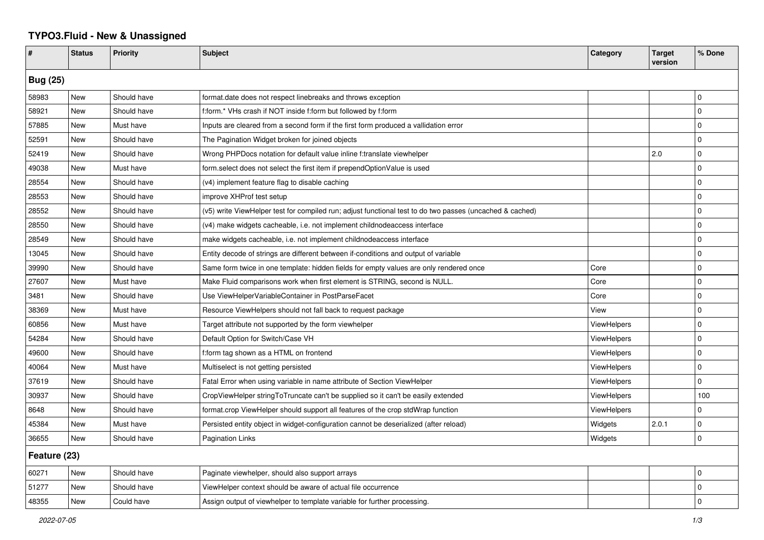## **TYPO3.Fluid - New & Unassigned**

| #               | <b>Status</b> | <b>Priority</b> | <b>Subject</b>                                                                                           | Category           | <b>Target</b><br>version | % Done      |  |  |
|-----------------|---------------|-----------------|----------------------------------------------------------------------------------------------------------|--------------------|--------------------------|-------------|--|--|
| <b>Bug (25)</b> |               |                 |                                                                                                          |                    |                          |             |  |  |
| 58983           | New           | Should have     | format.date does not respect linebreaks and throws exception                                             |                    |                          | $\Omega$    |  |  |
| 58921           | New           | Should have     | f:form.* VHs crash if NOT inside f:form but followed by f:form                                           |                    |                          | $\Omega$    |  |  |
| 57885           | New           | Must have       | Inputs are cleared from a second form if the first form produced a vallidation error                     |                    |                          | $\Omega$    |  |  |
| 52591           | New           | Should have     | The Pagination Widget broken for joined objects                                                          |                    |                          | $\Omega$    |  |  |
| 52419           | New           | Should have     | Wrong PHPDocs notation for default value inline f:translate viewhelper                                   |                    | 2.0                      | $\Omega$    |  |  |
| 49038           | New           | Must have       | form.select does not select the first item if prependOptionValue is used                                 |                    |                          | $\Omega$    |  |  |
| 28554           | New           | Should have     | (v4) implement feature flag to disable caching                                                           |                    |                          | $\Omega$    |  |  |
| 28553           | New           | Should have     | improve XHProf test setup                                                                                |                    |                          | $\mathbf 0$ |  |  |
| 28552           | New           | Should have     | (v5) write ViewHelper test for compiled run; adjust functional test to do two passes (uncached & cached) |                    |                          | $\Omega$    |  |  |
| 28550           | New           | Should have     | (v4) make widgets cacheable, i.e. not implement childnodeaccess interface                                |                    |                          | $\mathbf 0$ |  |  |
| 28549           | New           | Should have     | make widgets cacheable, i.e. not implement childnodeaccess interface                                     |                    |                          | $\Omega$    |  |  |
| 13045           | New           | Should have     | Entity decode of strings are different between if-conditions and output of variable                      |                    |                          | $\Omega$    |  |  |
| 39990           | New           | Should have     | Same form twice in one template: hidden fields for empty values are only rendered once                   | Core               |                          | $\Omega$    |  |  |
| 27607           | New           | Must have       | Make Fluid comparisons work when first element is STRING, second is NULL.                                | Core               |                          | $\Omega$    |  |  |
| 3481            | <b>New</b>    | Should have     | Use ViewHelperVariableContainer in PostParseFacet                                                        | Core               |                          | $\mathbf 0$ |  |  |
| 38369           | New           | Must have       | Resource ViewHelpers should not fall back to request package                                             | View               |                          | $\Omega$    |  |  |
| 60856           | New           | Must have       | Target attribute not supported by the form viewhelper                                                    | <b>ViewHelpers</b> |                          | $\Omega$    |  |  |
| 54284           | New           | Should have     | Default Option for Switch/Case VH                                                                        | <b>ViewHelpers</b> |                          | $\Omega$    |  |  |
| 49600           | New           | Should have     | f:form tag shown as a HTML on frontend                                                                   | <b>ViewHelpers</b> |                          | $\Omega$    |  |  |
| 40064           | New           | Must have       | Multiselect is not getting persisted                                                                     | <b>ViewHelpers</b> |                          | $\mathbf 0$ |  |  |
| 37619           | New           | Should have     | Fatal Error when using variable in name attribute of Section ViewHelper                                  | ViewHelpers        |                          | $\mathbf 0$ |  |  |
| 30937           | New           | Should have     | CropViewHelper stringToTruncate can't be supplied so it can't be easily extended                         | <b>ViewHelpers</b> |                          | 100         |  |  |
| 8648            | New           | Should have     | format.crop ViewHelper should support all features of the crop stdWrap function                          | <b>ViewHelpers</b> |                          | $\Omega$    |  |  |
| 45384           | New           | Must have       | Persisted entity object in widget-configuration cannot be deserialized (after reload)                    | Widgets            | 2.0.1                    | $\Omega$    |  |  |
| 36655           | <b>New</b>    | Should have     | <b>Pagination Links</b>                                                                                  | Widgets            |                          | $\mathbf 0$ |  |  |
| Feature (23)    |               |                 |                                                                                                          |                    |                          |             |  |  |
| 60271           | New           | Should have     | Paginate viewhelper, should also support arrays                                                          |                    |                          | $\Omega$    |  |  |
| 51277           | New           | Should have     | ViewHelper context should be aware of actual file occurrence                                             |                    |                          | $\Omega$    |  |  |
| 48355           | <b>New</b>    | Could have      | Assign output of viewhelper to template variable for further processing.                                 |                    |                          | $\Omega$    |  |  |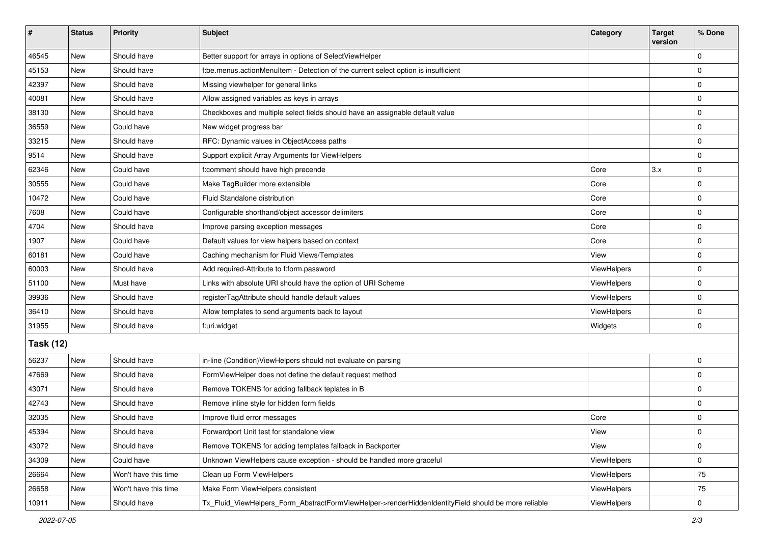| #                | <b>Status</b> | <b>Priority</b>      | <b>Subject</b>                                                                                      | Category    | <b>Target</b><br>version | % Done      |  |  |
|------------------|---------------|----------------------|-----------------------------------------------------------------------------------------------------|-------------|--------------------------|-------------|--|--|
| 46545            | New           | Should have          | Better support for arrays in options of SelectViewHelper                                            |             |                          | $\mathbf 0$ |  |  |
| 45153            | New           | Should have          | f:be.menus.actionMenuItem - Detection of the current select option is insufficient                  |             |                          | 0           |  |  |
| 42397            | New           | Should have          | Missing viewhelper for general links                                                                |             |                          | $\mathbf 0$ |  |  |
| 40081            | New           | Should have          | Allow assigned variables as keys in arrays                                                          |             |                          | $\mathbf 0$ |  |  |
| 38130            | New           | Should have          | Checkboxes and multiple select fields should have an assignable default value                       |             |                          | $\pmb{0}$   |  |  |
| 36559            | New           | Could have           | New widget progress bar                                                                             |             |                          | $\mathbf 0$ |  |  |
| 33215            | <b>New</b>    | Should have          | RFC: Dynamic values in ObjectAccess paths                                                           |             |                          | $\mathbf 0$ |  |  |
| 9514             | New           | Should have          | Support explicit Array Arguments for ViewHelpers                                                    |             |                          | 0           |  |  |
| 62346            | New           | Could have           | f:comment should have high precende                                                                 | Core        | 3.x                      | $\pmb{0}$   |  |  |
| 30555            | New           | Could have           | Make TagBuilder more extensible                                                                     | Core        |                          | $\pmb{0}$   |  |  |
| 10472            | New           | Could have           | Fluid Standalone distribution                                                                       | Core        |                          | $\mathbf 0$ |  |  |
| 7608             | <b>New</b>    | Could have           | Configurable shorthand/object accessor delimiters                                                   | Core        |                          | 0           |  |  |
| 4704             | New           | Should have          | Improve parsing exception messages                                                                  | Core        |                          | $\pmb{0}$   |  |  |
| 1907             | New           | Could have           | Default values for view helpers based on context                                                    | Core        |                          | $\mathbf 0$ |  |  |
| 60181            | New           | Could have           | Caching mechanism for Fluid Views/Templates                                                         | View        |                          | $\pmb{0}$   |  |  |
| 60003            | New           | Should have          | Add required-Attribute to f:form.password                                                           | ViewHelpers |                          | $\pmb{0}$   |  |  |
| 51100            | <b>New</b>    | Must have            | Links with absolute URI should have the option of URI Scheme                                        | ViewHelpers |                          | 0           |  |  |
| 39936            | New           | Should have          | registerTagAttribute should handle default values                                                   | ViewHelpers |                          | $\pmb{0}$   |  |  |
| 36410            | New           | Should have          | Allow templates to send arguments back to layout                                                    | ViewHelpers |                          | $\pmb{0}$   |  |  |
| 31955            | <b>New</b>    | Should have          | f:uri.widget                                                                                        | Widgets     |                          | $\mathbf 0$ |  |  |
| <b>Task (12)</b> |               |                      |                                                                                                     |             |                          |             |  |  |
| 56237            | New           | Should have          | in-line (Condition) ViewHelpers should not evaluate on parsing                                      |             |                          | 0           |  |  |
| 47669            | <b>New</b>    | Should have          | FormViewHelper does not define the default request method                                           |             |                          | $\mathbf 0$ |  |  |
| 43071            | New           | Should have          | Remove TOKENS for adding fallback teplates in B                                                     |             |                          | $\mathbf 0$ |  |  |
| 42743            | New           | Should have          | Remove inline style for hidden form fields                                                          |             |                          | $\mathbf 0$ |  |  |
| 32035            | New           | Should have          | Improve fluid error messages                                                                        | Core        |                          | $\pmb{0}$   |  |  |
| 45394            | New           | Should have          | Forwardport Unit test for standalone view                                                           | View        |                          | 0           |  |  |
| 43072            | New           | Should have          | Remove TOKENS for adding templates fallback in Backporter                                           | View        |                          | 0           |  |  |
| 34309            | New           | Could have           | Unknown ViewHelpers cause exception - should be handled more graceful                               | ViewHelpers |                          | 0           |  |  |
| 26664            | New           | Won't have this time | Clean up Form ViewHelpers                                                                           | ViewHelpers |                          | 75          |  |  |
| 26658            | New           | Won't have this time | Make Form ViewHelpers consistent                                                                    | ViewHelpers |                          | 75          |  |  |
| 10911            | New           | Should have          | Tx_Fluid_ViewHelpers_Form_AbstractFormViewHelper->renderHiddenIdentityField should be more reliable | ViewHelpers |                          | $\pmb{0}$   |  |  |